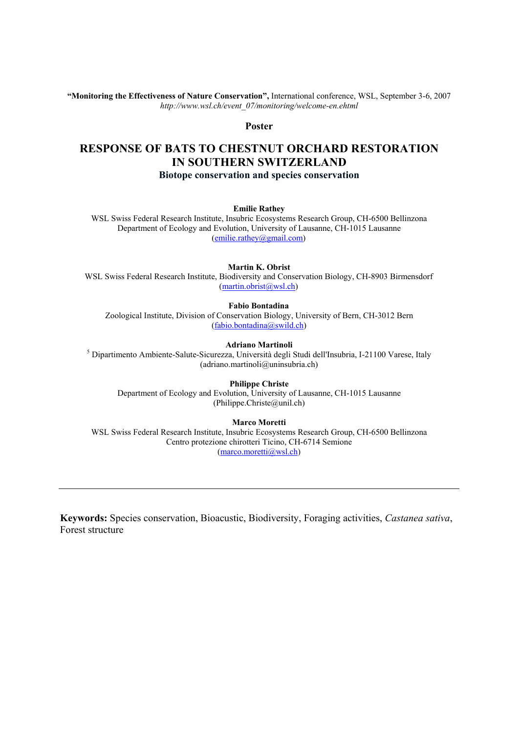**"Monitoring the Effectiveness of Nature Conservation",** International conference, WSL, September 3-6, 2007 *http://www.wsl.ch/event\_07/monitoring/welcome-en.ehtml*

## **Poster**

## **RESPONSE OF BATS TO CHESTNUT ORCHARD RESTORATION IN SOUTHERN SWITZERLAND Biotope conservation and species conservation**

**Emilie Rathey**

WSL Swiss Federal Research Institute, Insubric Ecosystems Research Group, CH-6500 Bellinzona Department of Ecology and Evolution, University of Lausanne, CH-1015 Lausanne (emilie.rathey@gmail.com)

**Martin K. Obrist**

WSL Swiss Federal Research Institute, Biodiversity and Conservation Biology, CH-8903 Birmensdorf (martin.obrist@wsl.ch)

**Fabio Bontadina**

Zoological Institute, Division of Conservation Biology, University of Bern, CH-3012 Bern (fabio.bontadina@swild.ch)

**Adriano Martinoli** <sup>5</sup> Dipartimento Ambiente-Salute-Sicurezza, Università degli Studi dell'Insubria, I-21100 Varese, Italy (adriano.martinoli@uninsubria.ch)

**Philippe Christe**

Department of Ecology and Evolution, University of Lausanne, CH-1015 Lausanne (Philippe.Christe@unil.ch)

**Marco Moretti**

WSL Swiss Federal Research Institute, Insubric Ecosystems Research Group, CH-6500 Bellinzona Centro protezione chirotteri Ticino, CH-6714 Semione (marco.moretti@wsl.ch)

**Keywords:** Species conservation, Bioacustic, Biodiversity, Foraging activities, *Castanea sativa*, Forest structure